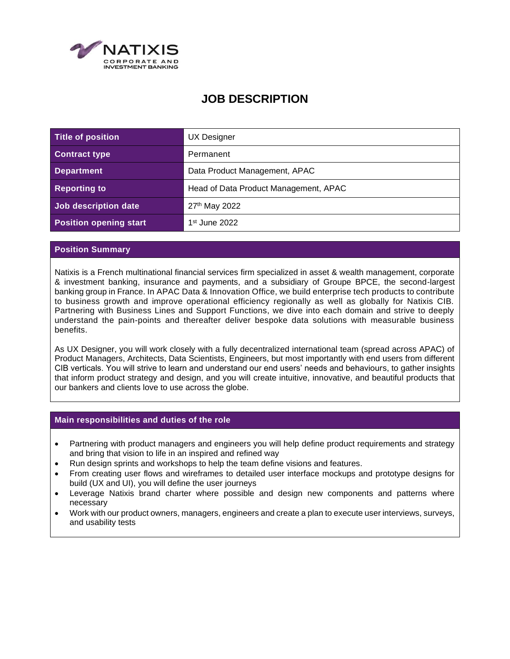

# **JOB DESCRIPTION**

| Title of position             | UX Designer                           |
|-------------------------------|---------------------------------------|
| <b>Contract type</b>          | Permanent                             |
| <b>Department</b>             | Data Product Management, APAC         |
| <b>Reporting to</b>           | Head of Data Product Management, APAC |
| Job description date          | 27 <sup>th</sup> May 2022             |
| <b>Position opening start</b> | $1st$ June 2022                       |

## **Position Summary**

Natixis is a French multinational financial services firm specialized in asset & wealth management, corporate & investment banking, insurance and payments, and a subsidiary of Groupe BPCE, the second-largest banking group in France. In APAC Data & Innovation Office, we build enterprise tech products to contribute to business growth and improve operational efficiency regionally as well as globally for Natixis CIB. Partnering with Business Lines and Support Functions, we dive into each domain and strive to deeply understand the pain-points and thereafter deliver bespoke data solutions with measurable business benefits.

As UX Designer, you will work closely with a fully decentralized international team (spread across APAC) of Product Managers, Architects, Data Scientists, Engineers, but most importantly with end users from different CIB verticals. You will strive to learn and understand our end users' needs and behaviours, to gather insights that inform product strategy and design, and you will create intuitive, innovative, and beautiful products that our bankers and clients love to use across the globe.

#### **Main responsibilities and duties of the role**

- Partnering with product managers and engineers you will help define product requirements and strategy and bring that vision to life in an inspired and refined way
- Run design sprints and workshops to help the team define visions and features.
- From creating user flows and wireframes to detailed user interface mockups and prototype designs for build (UX and UI), you will define the user journeys
- Leverage Natixis brand charter where possible and design new components and patterns where necessary
- Work with our product owners, managers, engineers and create a plan to execute user interviews, surveys, and usability tests